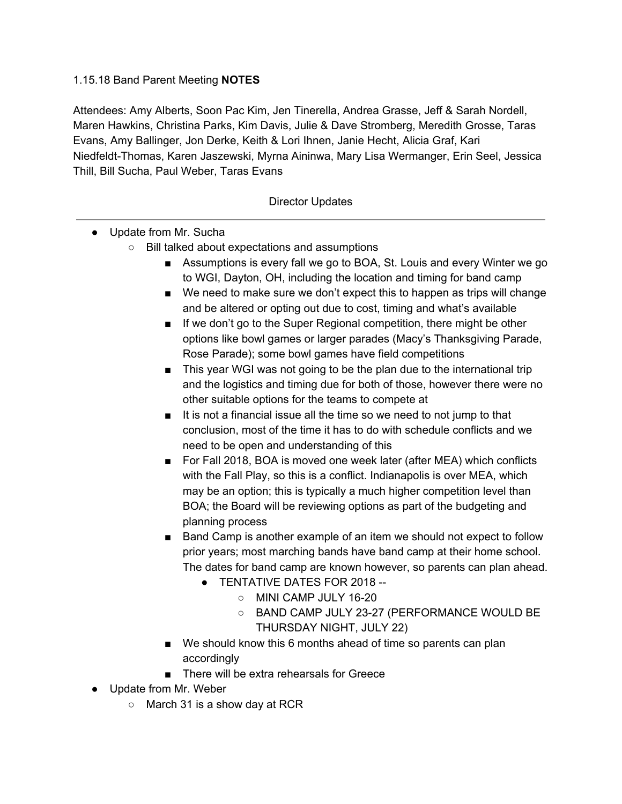## 1.15.18 Band Parent Meeting **NOTES**

Attendees: Amy Alberts, Soon Pac Kim, Jen Tinerella, Andrea Grasse, Jeff & Sarah Nordell, Maren Hawkins, Christina Parks, Kim Davis, Julie & Dave Stromberg, Meredith Grosse, Taras Evans, Amy Ballinger, Jon Derke, Keith & Lori Ihnen, Janie Hecht, Alicia Graf, Kari Niedfeldt-Thomas, Karen Jaszewski, Myrna Aininwa, Mary Lisa Wermanger, Erin Seel, Jessica Thill, Bill Sucha, Paul Weber, Taras Evans

## Director Updates

- Update from Mr. Sucha
	- Bill talked about expectations and assumptions
		- Assumptions is every fall we go to BOA, St. Louis and every Winter we go to WGI, Dayton, OH, including the location and timing for band camp
		- We need to make sure we don't expect this to happen as trips will change and be altered or opting out due to cost, timing and what's available
		- If we don't go to the Super Regional competition, there might be other options like bowl games or larger parades (Macy's Thanksgiving Parade, Rose Parade); some bowl games have field competitions
		- This year WGI was not going to be the plan due to the international trip and the logistics and timing due for both of those, however there were no other suitable options for the teams to compete at
		- It is not a financial issue all the time so we need to not jump to that conclusion, most of the time it has to do with schedule conflicts and we need to be open and understanding of this
		- For Fall 2018, BOA is moved one week later (after MEA) which conflicts with the Fall Play, so this is a conflict. Indianapolis is over MEA, which may be an option; this is typically a much higher competition level than BOA; the Board will be reviewing options as part of the budgeting and planning process
		- Band Camp is another example of an item we should not expect to follow prior years; most marching bands have band camp at their home school. The dates for band camp are known however, so parents can plan ahead.
			- TENTATIVE DATES FOR 2018 --
				- MINI CAMP JULY 16-20
				- BAND CAMP JULY 23-27 (PERFORMANCE WOULD BE THURSDAY NIGHT, JULY 22)
		- We should know this 6 months ahead of time so parents can plan accordingly
		- There will be extra rehearsals for Greece
- Update from Mr. Weber
	- March 31 is a show day at RCR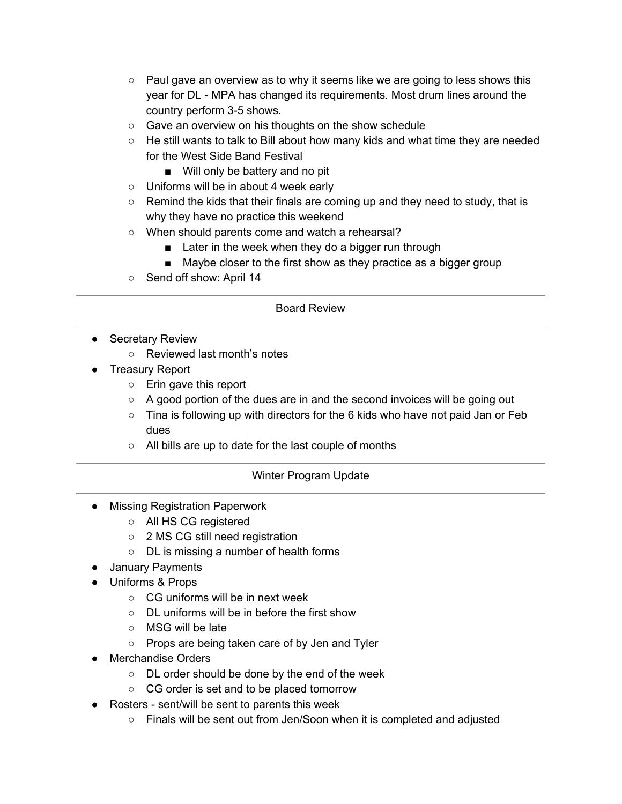- $\circ$  Paul gave an overview as to why it seems like we are going to less shows this year for DL - MPA has changed its requirements. Most drum lines around the country perform 3-5 shows.
- Gave an overview on his thoughts on the show schedule
- $\circ$  He still wants to talk to Bill about how many kids and what time they are needed for the West Side Band Festival
	- Will only be battery and no pit
- Uniforms will be in about 4 week early
- Remind the kids that their finals are coming up and they need to study, that is why they have no practice this weekend
- When should parents come and watch a rehearsal?
	- Later in the week when they do a bigger run through
	- Maybe closer to the first show as they practice as a bigger group
- Send off show: April 14

## Board Review

- Secretary Review
	- Reviewed last month's notes
- Treasury Report
	- Erin gave this report
	- A good portion of the dues are in and the second invoices will be going out
	- $\circ$  Tina is following up with directors for the 6 kids who have not paid Jan or Feb dues
	- All bills are up to date for the last couple of months

# Winter Program Update

- Missing Registration Paperwork
	- All HS CG registered
	- 2 MS CG still need registration
	- DL is missing a number of health forms
- January Payments
- Uniforms & Props
	- CG uniforms will be in next week
	- DL uniforms will be in before the first show
	- MSG will be late
	- Props are being taken care of by Jen and Tyler
- Merchandise Orders
	- DL order should be done by the end of the week
	- CG order is set and to be placed tomorrow
- Rosters sent/will be sent to parents this week
	- Finals will be sent out from Jen/Soon when it is completed and adjusted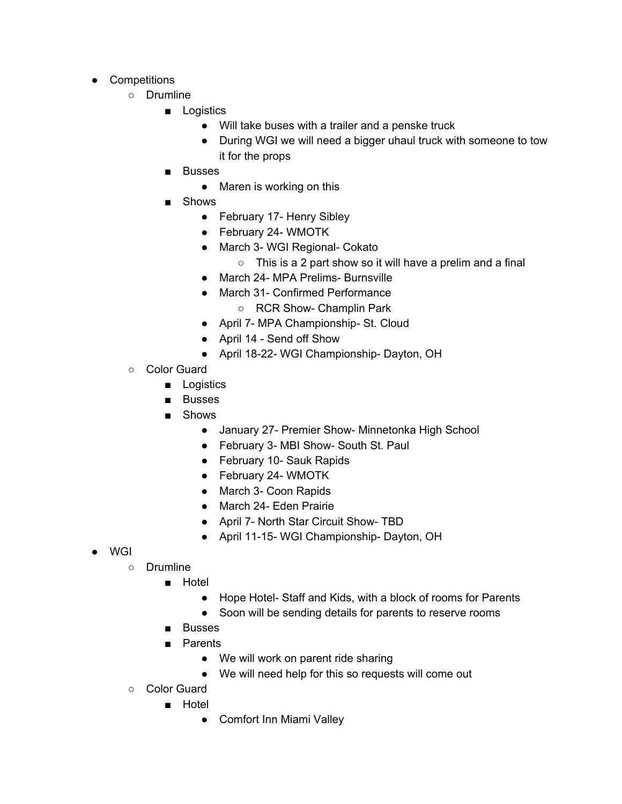- Competitions
	- Drumline
		- Logistics
			- Will take buses with a trailer and a penske truck
			- During WGI we will need a bigger uhaul truck with someone to tow it for the props
		- **Busses** 
			- Maren is working on this
		- **Shows** 
			- February 17- Henry Sibley
			- February 24- WMOTK
			- March 3- WGI Regional- Cokato
				- This is a 2 part show so it will have a prelim and a final
			- March 24- MPA Prelims- Burnsville
			- March 31- Confirmed Performance
				- RCR Show- Champlin Park
			- April 7- MPA Championship- St. Cloud
			- April 14 Send off Show
			- April 18-22- WGI Championship- Dayton, OH
	- Color Guard
		- Logistics
		- Busses
		- Shows
			- January 27- Premier Show- Minnetonka High School
			- February 3- MBI Show- South St. Paul
			- February 10- Sauk Rapids
			- February 24- WMOTK
			- March 3- Coon Rapids
			- March 24- Eden Prairie
			- April 7- North Star Circuit Show- TBD
			- April 11-15- WGI Championship- Dayton, OH
- WGI
	- Drumline
		- Hotel
			- Hope Hotel- Staff and Kids, with a block of rooms for Parents
			- Soon will be sending details for parents to reserve rooms
		- Busses
		- Parents
			- We will work on parent ride sharing
			- We will need help for this so requests will come out
	- Color Guard
		- Hotel
			- Comfort Inn Miami Valley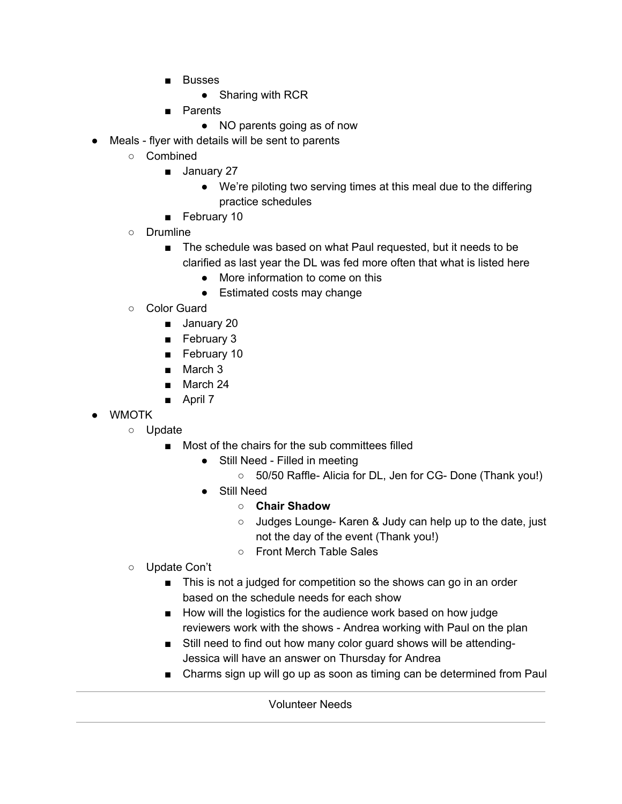- Busses
	- Sharing with RCR
- Parents
	- NO parents going as of now
- Meals flyer with details will be sent to parents
	- Combined
		- January 27
			- We're piloting two serving times at this meal due to the differing practice schedules
		- February 10
	- Drumline
		- The schedule was based on what Paul requested, but it needs to be clarified as last year the DL was fed more often that what is listed here
			- More information to come on this
			- Estimated costs may change
	- Color Guard
		- January 20
		- February 3
		- February 10
		- March 3
		- March 24
		- April 7
- WMOTK
	- Update
		- Most of the chairs for the sub committees filled
			- Still Need Filled in meeting
				- 50/50 Raffle- Alicia for DL, Jen for CG- Done (Thank you!)
			- Still Need
				- **○ Chair Shadow**
				- Judges Lounge- Karen & Judy can help up to the date, just not the day of the event (Thank you!)
				- Front Merch Table Sales
	- Update Con't
		- This is not a judged for competition so the shows can go in an order based on the schedule needs for each show
		- How will the logistics for the audience work based on how judge reviewers work with the shows - Andrea working with Paul on the plan
		- Still need to find out how many color guard shows will be attending-Jessica will have an answer on Thursday for Andrea
		- Charms sign up will go up as soon as timing can be determined from Paul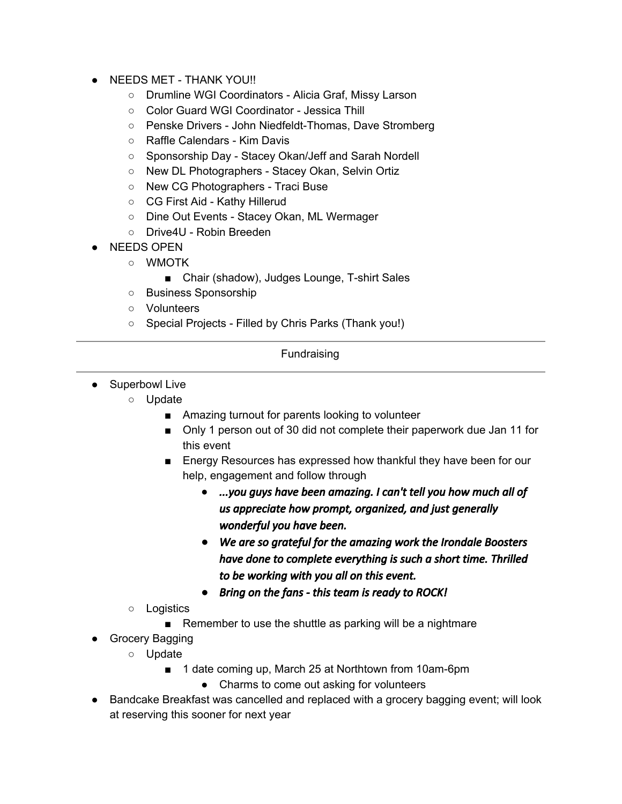- NEEDS MET THANK YOU!!
	- Drumline WGI Coordinators Alicia Graf, Missy Larson
	- Color Guard WGI Coordinator Jessica Thill
	- Penske Drivers John Niedfeldt-Thomas, Dave Stromberg
	- Raffle Calendars Kim Davis
	- Sponsorship Day Stacey Okan/Jeff and Sarah Nordell
	- New DL Photographers Stacey Okan, Selvin Ortiz
	- New CG Photographers Traci Buse
	- CG First Aid Kathy Hillerud
	- Dine Out Events Stacey Okan, ML Wermager
	- Drive4U Robin Breeden
- NEEDS OPEN
	- WMOTK
		- Chair (shadow), Judges Lounge, T-shirt Sales
	- Business Sponsorship
	- Volunteers
	- Special Projects Filled by Chris Parks (Thank you!)

# Fundraising

- Superbowl Live
	- Update
		- Amazing turnout for parents looking to volunteer
		- Only 1 person out of 30 did not complete their paperwork due Jan 11 for this event
		- Energy Resources has expressed how thankful they have been for our help, engagement and follow through
			- *● ...you guys have been amazing. I can't tell you how much all of us appreciate how prompt, organized, and just generally wonderful you have been.*
			- *● We are so grateful for the amazing work the Irondale Boosters have done to complete everything is such a short time. Thrilled to be working with you all on this event.*
			- *● Bring on the fans this team is ready to ROCK!*
		- Logistics
			- Remember to use the shuttle as parking will be a nightmare
- Grocery Bagging
	- Update
		- 1 date coming up, March 25 at Northtown from 10am-6pm
			- Charms to come out asking for volunteers
- Bandcake Breakfast was cancelled and replaced with a grocery bagging event; will look at reserving this sooner for next year